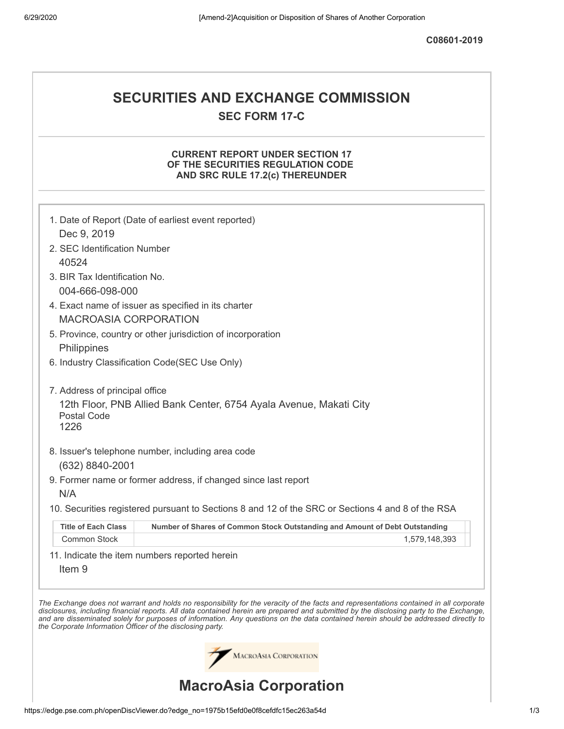**C08601-2019**

## **SECURITIES AND EXCHANGE COMMISSION SEC FORM 17-C**

## **CURRENT REPORT UNDER SECTION 17 OF THE SECURITIES REGULATION CODE AND SRC RULE 17.2(c) THEREUNDER**

|                                                            | 1. Date of Report (Date of earliest event reported)                                                                                                                                                                                                                                                                                                                                                                      |
|------------------------------------------------------------|--------------------------------------------------------------------------------------------------------------------------------------------------------------------------------------------------------------------------------------------------------------------------------------------------------------------------------------------------------------------------------------------------------------------------|
| Dec 9, 2019                                                |                                                                                                                                                                                                                                                                                                                                                                                                                          |
| 2. SEC Identification Number                               |                                                                                                                                                                                                                                                                                                                                                                                                                          |
| 40524                                                      |                                                                                                                                                                                                                                                                                                                                                                                                                          |
| 3. BIR Tax Identification No.                              |                                                                                                                                                                                                                                                                                                                                                                                                                          |
| 004-666-098-000                                            |                                                                                                                                                                                                                                                                                                                                                                                                                          |
|                                                            | 4. Exact name of issuer as specified in its charter                                                                                                                                                                                                                                                                                                                                                                      |
| <b>MACROASIA CORPORATION</b>                               |                                                                                                                                                                                                                                                                                                                                                                                                                          |
|                                                            | 5. Province, country or other jurisdiction of incorporation                                                                                                                                                                                                                                                                                                                                                              |
| Philippines                                                |                                                                                                                                                                                                                                                                                                                                                                                                                          |
|                                                            | 6. Industry Classification Code(SEC Use Only)                                                                                                                                                                                                                                                                                                                                                                            |
|                                                            |                                                                                                                                                                                                                                                                                                                                                                                                                          |
| 7. Address of principal office                             |                                                                                                                                                                                                                                                                                                                                                                                                                          |
| Postal Code                                                | 12th Floor, PNB Allied Bank Center, 6754 Ayala Avenue, Makati City                                                                                                                                                                                                                                                                                                                                                       |
| 1226                                                       |                                                                                                                                                                                                                                                                                                                                                                                                                          |
|                                                            |                                                                                                                                                                                                                                                                                                                                                                                                                          |
|                                                            | 8. Issuer's telephone number, including area code                                                                                                                                                                                                                                                                                                                                                                        |
| (632) 8840-2001                                            |                                                                                                                                                                                                                                                                                                                                                                                                                          |
|                                                            | 9. Former name or former address, if changed since last report                                                                                                                                                                                                                                                                                                                                                           |
| N/A                                                        |                                                                                                                                                                                                                                                                                                                                                                                                                          |
|                                                            | 10. Securities registered pursuant to Sections 8 and 12 of the SRC or Sections 4 and 8 of the RSA                                                                                                                                                                                                                                                                                                                        |
| <b>Title of Each Class</b>                                 | Number of Shares of Common Stock Outstanding and Amount of Debt Outstanding                                                                                                                                                                                                                                                                                                                                              |
| <b>Common Stock</b>                                        | 1,579,148,393                                                                                                                                                                                                                                                                                                                                                                                                            |
|                                                            | 11. Indicate the item numbers reported herein                                                                                                                                                                                                                                                                                                                                                                            |
| Item <sub>9</sub>                                          |                                                                                                                                                                                                                                                                                                                                                                                                                          |
|                                                            |                                                                                                                                                                                                                                                                                                                                                                                                                          |
| the Corporate Information Officer of the disclosing party. | The Exchange does not warrant and holds no responsibility for the veracity of the facts and representations contained in all corporate<br>disclosures, including financial reports. All data contained herein are prepared and submitted by the disclosing party to the Exchange,<br>and are disseminated solely for purposes of information. Any questions on the data contained herein should be addressed directly to |
|                                                            | <b>MACROASIA CORPORATION</b>                                                                                                                                                                                                                                                                                                                                                                                             |
|                                                            | <b>MacroAsia Corporation</b>                                                                                                                                                                                                                                                                                                                                                                                             |

https://edge.pse.com.ph/openDiscViewer.do?edge\_no=1975b15efd0e0f8cefdfc15ec263a54d 1/3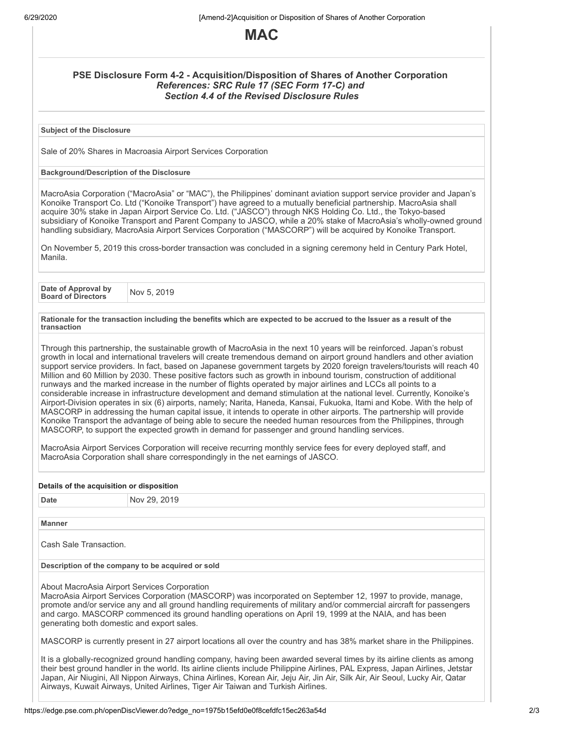

## **PSE Disclosure Form 4-2 - Acquisition/Disposition of Shares of Another Corporation** *References: SRC Rule 17 (SEC Form 17-C) and Section 4.4 of the Revised Disclosure Rules*

**Subject of the Disclosure**

Sale of 20% Shares in Macroasia Airport Services Corporation

## **Background/Description of the Disclosure**

MacroAsia Corporation ("MacroAsia" or "MAC"), the Philippines' dominant aviation support service provider and Japan's Konoike Transport Co. Ltd ("Konoike Transport") have agreed to a mutually beneficial partnership. MacroAsia shall acquire 30% stake in Japan Airport Service Co. Ltd. ("JASCO") through NKS Holding Co. Ltd., the Tokyo-based subsidiary of Konoike Transport and Parent Company to JASCO, while a 20% stake of MacroAsia's wholly-owned ground handling subsidiary, MacroAsia Airport Services Corporation ("MASCORP") will be acquired by Konoike Transport.

On November 5, 2019 this cross-border transaction was concluded in a signing ceremony held in Century Park Hotel, Manila.

**Date of Approval by Board of Directors** Nov 5, <sup>2019</sup>

Rationale for the transaction including the benefits which are expected to be accrued to the Issuer as a result of the **transaction**

Through this partnership, the sustainable growth of MacroAsia in the next 10 years will be reinforced. Japan's robust growth in local and international travelers will create tremendous demand on airport ground handlers and other aviation support service providers. In fact, based on Japanese government targets by 2020 foreign travelers/tourists will reach 40 Million and 60 Million by 2030. These positive factors such as growth in inbound tourism, construction of additional runways and the marked increase in the number of flights operated by major airlines and LCCs all points to a considerable increase in infrastructure development and demand stimulation at the national level. Currently, Konoike's Airport-Division operates in six (6) airports, namely; Narita, Haneda, Kansai, Fukuoka, Itami and Kobe. With the help of MASCORP in addressing the human capital issue, it intends to operate in other airports. The partnership will provide Konoike Transport the advantage of being able to secure the needed human resources from the Philippines, through MASCORP, to support the expected growth in demand for passenger and ground handling services.

MacroAsia Airport Services Corporation will receive recurring monthly service fees for every deployed staff, and MacroAsia Corporation shall share correspondingly in the net earnings of JASCO.

| Details of the acquisition or disposition         |                                                                                                                                                                                                                                                                                                                                                                                                                                                                             |  |
|---------------------------------------------------|-----------------------------------------------------------------------------------------------------------------------------------------------------------------------------------------------------------------------------------------------------------------------------------------------------------------------------------------------------------------------------------------------------------------------------------------------------------------------------|--|
| <b>Date</b>                                       | Nov 29, 2019                                                                                                                                                                                                                                                                                                                                                                                                                                                                |  |
|                                                   |                                                                                                                                                                                                                                                                                                                                                                                                                                                                             |  |
| <b>Manner</b>                                     |                                                                                                                                                                                                                                                                                                                                                                                                                                                                             |  |
| Cash Sale Transaction.                            |                                                                                                                                                                                                                                                                                                                                                                                                                                                                             |  |
| Description of the company to be acquired or sold |                                                                                                                                                                                                                                                                                                                                                                                                                                                                             |  |
|                                                   | About MacroAsia Airport Services Corporation<br>MacroAsia Airport Services Corporation (MASCORP) was incorporated on September 12, 1997 to provide, manage,<br>promote and/or service any and all ground handling reguirements of military and/or commercial aircraft for passengers<br>and cargo. MASCORP commenced its ground handling operations on April 19, 1999 at the NAIA, and has been<br>generating both domestic and export sales.                               |  |
|                                                   | MASCORP is currently present in 27 airport locations all over the country and has 38% market share in the Philippines.                                                                                                                                                                                                                                                                                                                                                      |  |
|                                                   | It is a globally-recognized ground handling company, having been awarded several times by its airline clients as among<br>their best ground handler in the world. Its airline clients include Philippine Airlines, PAL Express, Japan Airlines, Jetstar<br>Japan, Air Niugini, All Nippon Airways, China Airlines, Korean Air, Jeju Air, Jin Air, Silk Air, Air Seoul, Lucky Air, Qatar<br>Airways, Kuwait Airways, United Airlines, Tiger Air Taiwan and Turkish Airlines. |  |